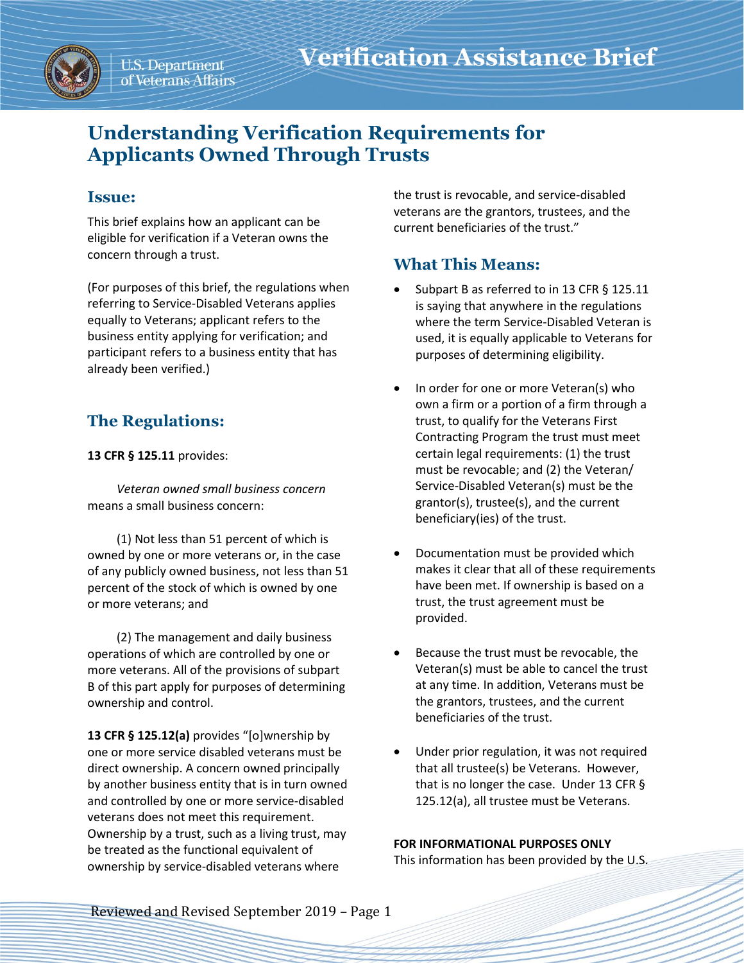

# **Understanding Verification Requirements for Applicants Owned Through Trusts**

### **Issue:**

This brief explains how an applicant can be eligible for verification if a Veteran owns the concern through a trust.

(For purposes of this brief, the regulations when referring to Service-Disabled Veterans applies equally to Veterans; applicant refers to the business entity applying for verification; and participant refers to a business entity that has already been verified.)

## **The Regulations:**

#### **13 CFR § 125.11** provides:

*Veteran owned small business concern* means a small business concern:

(1) Not less than 51 percent of which is owned by one or more veterans or, in the case of any publicly owned business, not less than 51 percent of the stock of which is owned by one or more veterans; and

(2) The management and daily business operations of which are controlled by one or more veterans. All of the provisions of subpart B of this part apply for purposes of determining ownership and control.

**13 CFR § 125.12(a)** provides "[o]wnership by one or more service disabled veterans must be direct ownership. A concern owned principally by another business entity that is in turn owned and controlled by one or more service-disabled veterans does not meet this requirement. Ownership by a trust, such as a living trust, may be treated as the functional equivalent of ownership by service-disabled veterans where

the trust is revocable, and service-disabled veterans are the grantors, trustees, and the current beneficiaries of the trust."

## **What This Means:**

- Subpart B as referred to in 13 CFR § 125.11 is saying that anywhere in the regulations where the term Service-Disabled Veteran is used, it is equally applicable to Veterans for purposes of determining eligibility.
- In order for one or more Veteran(s) who own a firm or a portion of a firm through a trust, to qualify for the Veterans First Contracting Program the trust must meet certain legal requirements: (1) the trust must be revocable; and (2) the Veteran/ Service-Disabled Veteran(s) must be the grantor(s), trustee(s), and the current beneficiary(ies) of the trust.
- Documentation must be provided which makes it clear that all of these requirements have been met. If ownership is based on a trust, the trust agreement must be provided.
- Because the trust must be revocable, the Veteran(s) must be able to cancel the trust at any time. In addition, Veterans must be the grantors, trustees, and the current beneficiaries of the trust.
- Under prior regulation, it was not required that all trustee(s) be Veterans. However, that is no longer the case. Under 13 CFR § 125.12(a), all trustee must be Veterans.

#### **FOR INFORMATIONAL PURPOSES ONLY**

This information has been provided by the U.S.